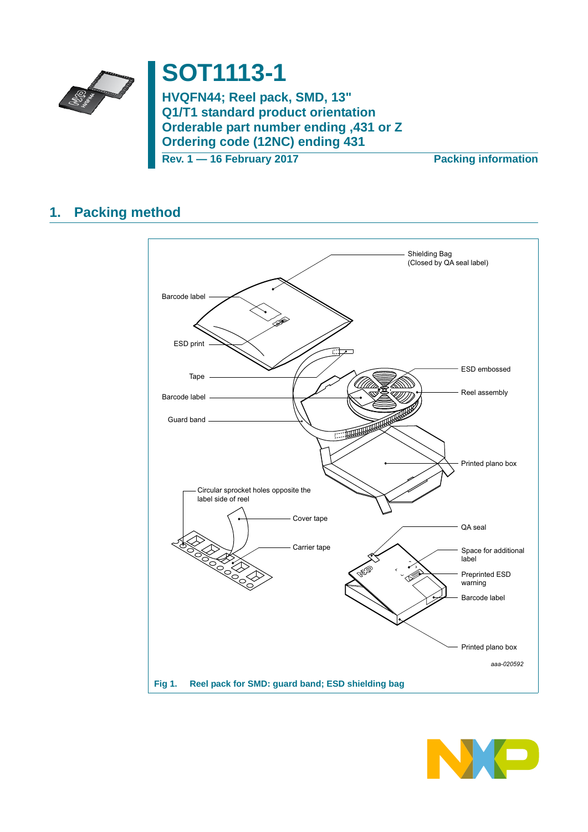

# **SOT1113-1**

**HVQFN44; Reel pack, SMD, 13" Q1/T1 standard product orientation Orderable part number ending ,431 or Z Ordering code (12NC) ending 431**

**Rev. 1 — 16 February 2017 Packing information**

### **1. Packing method**



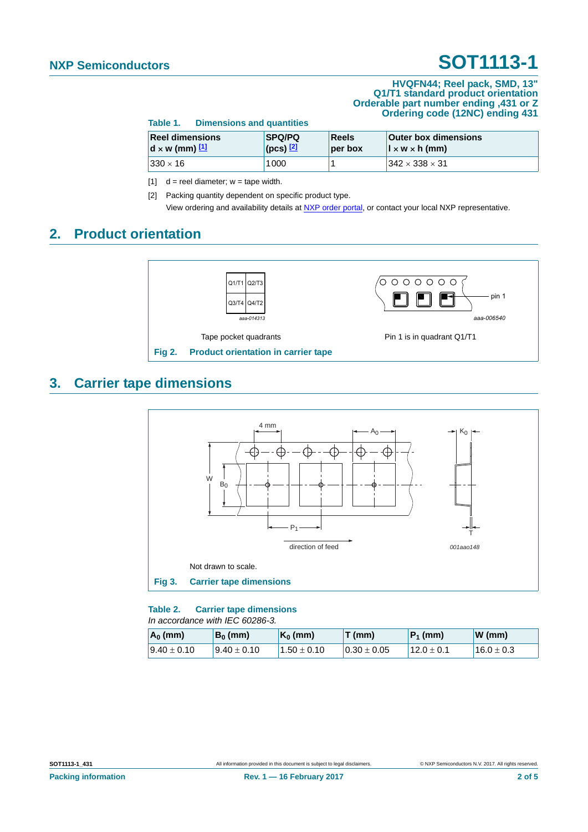#### **HVQFN44; Reel pack, SMD, 13" Q1/T1 standard product orientation Orderable part number ending ,431 or Z Ordering code (12NC) ending 431**

| Table T.<br><b>Dimensions and quantities</b>                                                   |                                              |                  |                                                             |  |
|------------------------------------------------------------------------------------------------|----------------------------------------------|------------------|-------------------------------------------------------------|--|
| <b>Reel dimensions</b><br>$\mathsf{d} \times \mathsf{w}$ (mm) $\mathsf{l}\mathsf{l}\mathsf{l}$ | <b>SPQ/PQ</b><br>$ $ (pcs) $\frac{[2]}{[2]}$ | Reels<br>per box | <b>Outer box dimensions</b><br>$\vert x \, w \times h$ (mm) |  |
| $ 330 \times 16 $                                                                              | 1000                                         |                  | $1342 \times 338 \times 31$                                 |  |

<span id="page-1-0"></span>[1]  $d =$  reel diameter;  $w =$  tape width.

**Table 1. Dimensions and quantities**

<span id="page-1-1"></span>[2] Packing quantity dependent on specific product type. View ordering and availability details at [NXP order portal](http://www.nxp.com/order-portal/), or contact your local NXP representative.

### **2. Product orientation**



### **3. Carrier tape dimensions**



#### **Table 2. Carrier tape dimensions** *In accordance with IEC 60286-3.*

| $A_0$ (mm)      | $B_0$ (mm)      | $K_0$ (mm)      | T(mm)            | $P_1$ (mm)   | $W$ (mm)     |
|-----------------|-----------------|-----------------|------------------|--------------|--------------|
| $9.40 \pm 0.10$ | $9.40 \pm 0.10$ | $1.50 \pm 0.10$ | $10.30 \pm 0.05$ | $12.0\pm0.1$ | $16.0\pm0.3$ |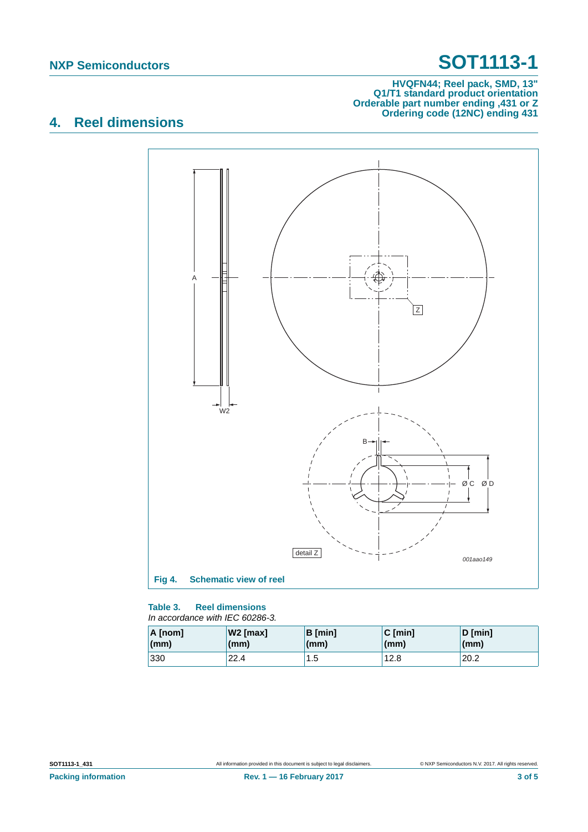### **HVQFN44; Reel pack, SMD, 13" Q1/T1 standard product orientation Orderable part number ending ,431 or Z Ordering code (12NC) ending 431**

## **4. Reel dimensions**



#### **Table 3. Reel dimensions** *In accordance with IEC 60286-3.*

| A [nom] | $W2$ [max]   | B [min] | $C$ [min] | $D$ [min]    |
|---------|--------------|---------|-----------|--------------|
| (mm)    | $\mathsf{m}$ | (mm)    | (mm)      | $\mathsf{m}$ |
| 330     | 22.4         | 1.5     | 12.8      | 20.2         |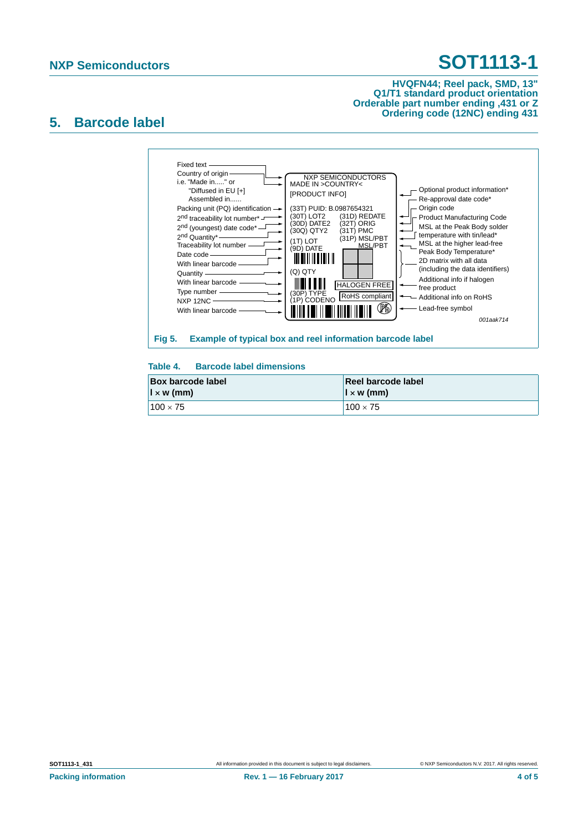#### **HVQFN44; Reel pack, SMD, 13" Q1/T1 standard product orientation Orderable part number ending ,431 or Z Ordering code (12NC) ending 431**

### **5. Barcode label**



### **Table 4. Barcode label dimensions**

| <b>Box barcode label</b> | Reel barcode label       |
|--------------------------|--------------------------|
| $\vert x \rangle$ (mm)   | $\vert x \rangle$ w (mm) |
| $100 \times 75$          | $100 \times 75$          |